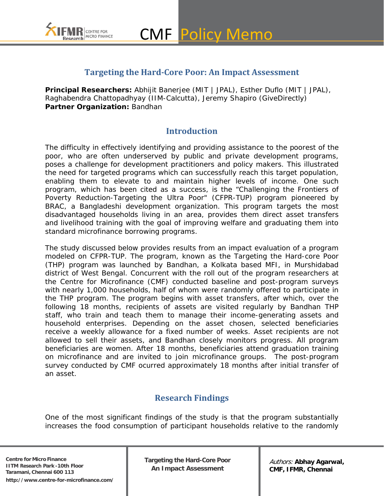

### **Targeting the Hard-Core Poor: An Impact Assessment**

**Principal Researchers:** Abhijit Banerjee (MIT | JPAL), Esther Duflo (MIT | JPAL), Raghabendra Chattopadhyay (IIM-Calcutta), Jeremy Shapiro (GiveDirectly) **Partner Organization:** Bandhan

#### **Introduction**

The difficulty in effectively identifying and providing assistance to the *poorest of the poor*, who are often underserved by public and private development programs, poses a challenge for development practitioners and policy makers. This illustrated the need for targeted programs which can successfully reach this target population, enabling them to elevate to and maintain higher levels of income. One such program, which has been cited as a success, is the "Challenging the Frontiers of Poverty Reduction-Targeting the Ultra Poor" (CFPR-TUP) program pioneered by BRAC, a Bangladeshi development organization. This program targets the most disadvantaged households living in an area, provides them direct asset transfers and livelihood training with the goal of improving welfare and *graduating* them into standard microfinance borrowing programs.

The study discussed below provides results from an impact evaluation of a program modeled on CFPR-TUP. The program, known as the *Targeting the Hard-core Poor* (THP) program was launched by Bandhan, a Kolkata based MFI, in Murshidabad district of West Bengal. Concurrent with the roll out of the program researchers at the Centre for Microfinance (CMF) conducted baseline and post-program surveys with nearly 1,000 households, half of whom were randomly offered to participate in the THP program. The program begins with asset transfers, after which, over the following 18 months, recipients of assets are visited regularly by Bandhan THP staff, who train and teach them to manage their income-generating assets and household enterprises. Depending on the asset chosen, selected beneficiaries receive a weekly allowance for a fixed number of weeks. Asset recipients are not allowed to sell their assets, and Bandhan closely monitors progress. All program beneficiaries are women. After 18 months, beneficiaries attend graduation training on microfinance and are invited to join microfinance groups. The post-program survey conducted by CMF ocurred approximately 18 months after initial transfer of an asset.

## **Research Findings**

One of the most significant findings of the study is that the program substantially increases the food consumption of participant households relative to the randomly

**Centre for Micro Finance IITM Research Park -10th Floor Taramani, Chennai 600 113 http://www.centre-for-microfinance.com/** **Targeting the Hard-Core Poor An Impact Assessment**

Authors: **Abhay Agarwal, CMF, IFMR, Chennai**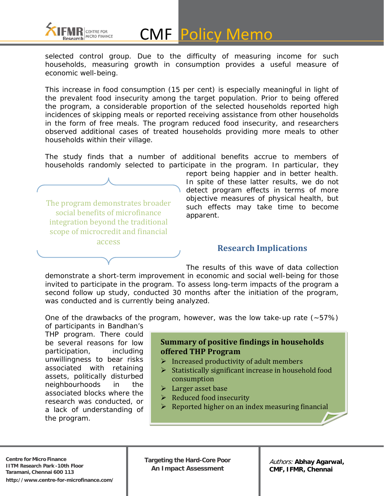

selected control group. Due to the difficulty of measuring income for such households, measuring growth in consumption provides a useful measure of economic well-being.

This increase in food consumption (15 per cent) is especially meaningful in light of the prevalent food insecurity among the target population. Prior to being offered the program, a considerable proportion of the selected households reported high incidences of skipping meals or reported receiving assistance from other households in the form of free meals. The program reduced food insecurity, and researchers observed additional cases of treated households providing more meals to other households within their village.

The study finds that a number of additional benefits accrue to members of households randomly selected to participate in the program. In particular, they



report being happier and in better health. In spite of these latter results, we do not detect program effects in terms of more objective measures of physical health, but such effects may take time to become apparent.

### **Research Implications**

The results of this wave of data collection demonstrate a short-term improvement in economic and social well-being for those invited to participate in the program. To assess long-term impacts of the program a second follow up study, conducted 30 months after the initiation of the program, was conducted and is currently being analyzed.

One of the drawbacks of the program, however, was the low take-up rate  $(-57%)$ of participants in Bandhan's

THP program. There could be several reasons for low participation, including unwillingness to bear risks associated with retaining assets, politically disturbed neighbourhoods in the associated blocks where the research was conducted, or a lack of understanding of the program.

#### **Summary of positive findings in households offered THP Program**

- $\triangleright$  Increased productivity of adult members
- $\triangleright$  Statistically significant increase in household food consumption
- $\blacktriangleright$  Larger asset base
- $\triangleright$  Reduced food insecurity
- $\triangleright$  Reported higher on an index measuring financial

**Targeting the Hard-Core Poor An Impact Assessment**

Authors: **Abhay Agarwal, CMF, IFMR, Chennai**